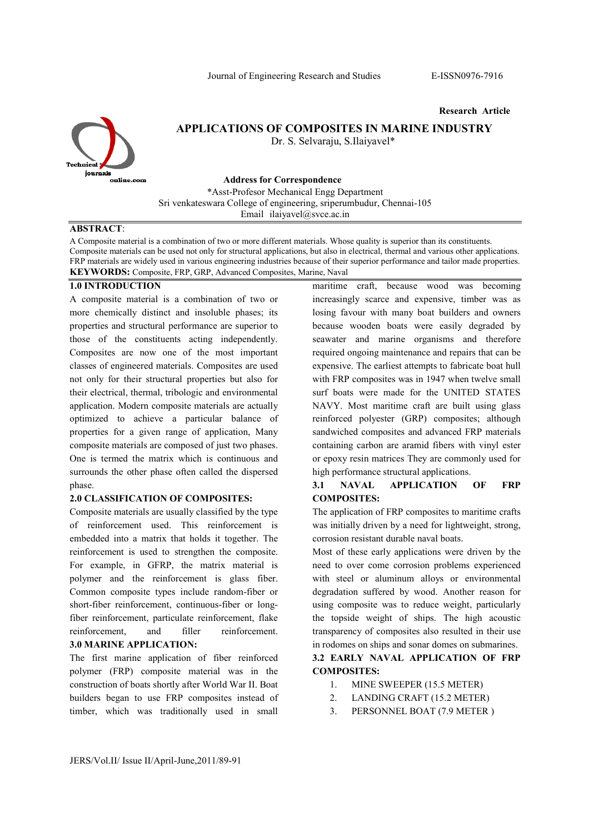Research Article



# APPLICATIONS OF COMPOSITES IN MARINE INDUSTRY

Dr. S. Selvaraju, S.Ilaiyavel\*

Address for Correspondence

\*Asst-Profesor Mechanical Engg Department Sri venkateswara College of engineering, sriperumbudur, Chennai-105 Email ilaiyavel@svce.ac.in

### ABSTRACT:

A Composite material is a combination of two or more different materials. Whose quality is superior than its constituents. Composite materials can be used not only for structural applications, but also in electrical, thermal and various other applications. FRP materials are widely used in various engineering industries because of their superior performance and tailor made properties. KEYWORDS: Composite, FRP, GRP, Advanced Composites, Marine, Naval

#### 1.0 INTRODUCTION

A composite material is a combination of two or more chemically distinct and insoluble phases; its properties and structural performance are superior to those of the constituents acting independently. Composites are now one of the most important classes of engineered materials. Composites are used not only for their structural properties but also for their electrical, thermal, tribologic and environmental application. Modern composite materials are actually optimized to achieve a particular balance of properties for a given range of application, Many composite materials are composed of just two phases. One is termed the matrix which is continuous and surrounds the other phase often called the dispersed phase.

#### 2.0 CLASSIFICATION OF COMPOSITES:

Composite materials are usually classified by the type of reinforcement used. This reinforcement is embedded into a matrix that holds it together. The reinforcement is used to strengthen the composite. For example, in GFRP, the matrix material is polymer and the reinforcement is glass fiber. Common composite types include random-fiber or short-fiber reinforcement, continuous-fiber or longfiber reinforcement, particulate reinforcement, flake reinforcement, and filler reinforcement. 3.0 MARINE APPLICATION:

The first marine application of fiber reinforced polymer (FRP) composite material was in the construction of boats shortly after World War II. Boat builders began to use FRP composites instead of timber, which was traditionally used in small

maritime craft, because wood was becoming increasingly scarce and expensive, timber was as losing favour with many boat builders and owners because wooden boats were easily degraded by seawater and marine organisms and therefore required ongoing maintenance and repairs that can be expensive. The earliest attempts to fabricate boat hull with FRP composites was in 1947 when twelve small surf boats were made for the UNITED STATES NAVY. Most maritime craft are built using glass reinforced polyester (GRP) composites; although sandwiched composites and advanced FRP materials containing carbon are aramid fibers with vinyl ester or epoxy resin matrices They are commonly used for high performance structural applications.

### 3.1 NAVAL APPLICATION OF FRP COMPOSITES:

The application of FRP composites to maritime crafts was initially driven by a need for lightweight, strong, corrosion resistant durable naval boats.

Most of these early applications were driven by the need to over come corrosion problems experienced with steel or aluminum alloys or environmental degradation suffered by wood. Another reason for using composite was to reduce weight, particularly the topside weight of ships. The high acoustic transparency of composites also resulted in their use in rodomes on ships and sonar domes on submarines.

# 3.2 EARLY NAVAL APPLICATION OF FRP COMPOSITES:

- 1. MINE SWEEPER (15.5 METER)
- 2. LANDING CRAFT (15.2 METER)
- 3. PERSONNEL BOAT (7.9 METER )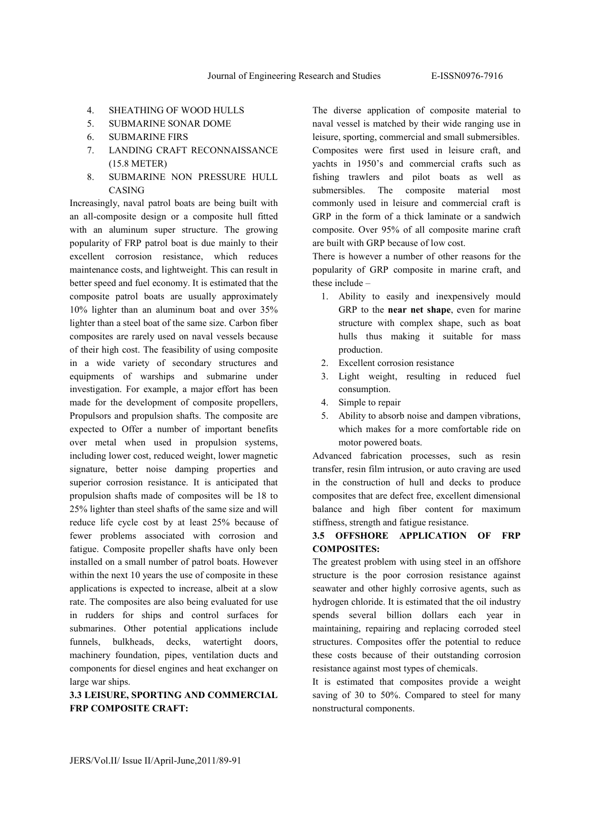- 4. SHEATHING OF WOOD HULLS
- 5. SUBMARINE SONAR DOME
- 6. SUBMARINE FIRS
- 7. LANDING CRAFT RECONNAISSANCE (15.8 METER)
- 8. SUBMARINE NON PRESSURE HULL CASING

Increasingly, naval patrol boats are being built with an all-composite design or a composite hull fitted with an aluminum super structure. The growing popularity of FRP patrol boat is due mainly to their excellent corrosion resistance, which reduces maintenance costs, and lightweight. This can result in better speed and fuel economy. It is estimated that the composite patrol boats are usually approximately 10% lighter than an aluminum boat and over 35% lighter than a steel boat of the same size. Carbon fiber composites are rarely used on naval vessels because of their high cost. The feasibility of using composite in a wide variety of secondary structures and equipments of warships and submarine under investigation. For example, a major effort has been made for the development of composite propellers, Propulsors and propulsion shafts. The composite are expected to Offer a number of important benefits over metal when used in propulsion systems, including lower cost, reduced weight, lower magnetic signature, better noise damping properties and superior corrosion resistance. It is anticipated that propulsion shafts made of composites will be 18 to 25% lighter than steel shafts of the same size and will reduce life cycle cost by at least 25% because of fewer problems associated with corrosion and fatigue. Composite propeller shafts have only been installed on a small number of patrol boats. However within the next 10 years the use of composite in these applications is expected to increase, albeit at a slow rate. The composites are also being evaluated for use in rudders for ships and control surfaces for submarines. Other potential applications include funnels, bulkheads, decks, watertight doors, machinery foundation, pipes, ventilation ducts and components for diesel engines and heat exchanger on large war ships.

# 3.3 LEISURE, SPORTING AND COMMERCIAL FRP COMPOSITE CRAFT:

The diverse application of composite material to naval vessel is matched by their wide ranging use in leisure, sporting, commercial and small submersibles. Composites were first used in leisure craft, and yachts in 1950's and commercial crafts such as fishing trawlers and pilot boats as well as submersibles. The composite material most commonly used in leisure and commercial craft is GRP in the form of a thick laminate or a sandwich composite. Over 95% of all composite marine craft are built with GRP because of low cost.

There is however a number of other reasons for the popularity of GRP composite in marine craft, and these include –

- 1. Ability to easily and inexpensively mould GRP to the near net shape, even for marine structure with complex shape, such as boat hulls thus making it suitable for mass production.
- 2. Excellent corrosion resistance
- 3. Light weight, resulting in reduced fuel consumption.
- 4. Simple to repair
- 5. Ability to absorb noise and dampen vibrations, which makes for a more comfortable ride on motor powered boats.

Advanced fabrication processes, such as resin transfer, resin film intrusion, or auto craving are used in the construction of hull and decks to produce composites that are defect free, excellent dimensional balance and high fiber content for maximum stiffness, strength and fatigue resistance.

### 3.5 OFFSHORE APPLICATION OF FRP COMPOSITES:

The greatest problem with using steel in an offshore structure is the poor corrosion resistance against seawater and other highly corrosive agents, such as hydrogen chloride. It is estimated that the oil industry spends several billion dollars each year in maintaining, repairing and replacing corroded steel structures. Composites offer the potential to reduce these costs because of their outstanding corrosion resistance against most types of chemicals.

It is estimated that composites provide a weight saving of 30 to 50%. Compared to steel for many nonstructural components.